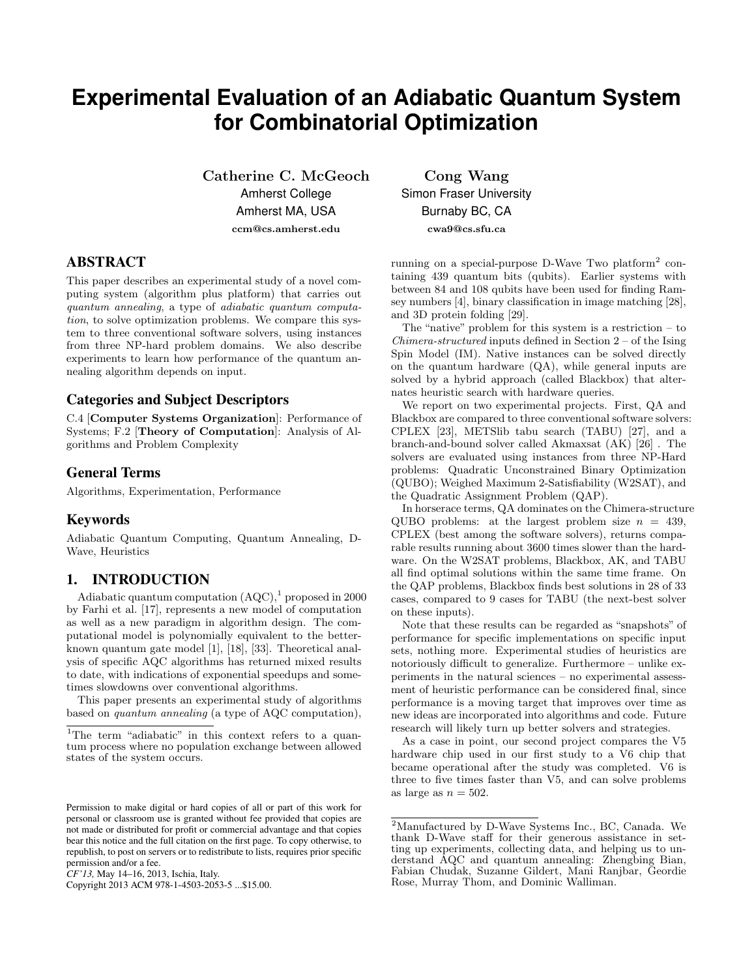# **Experimental Evaluation of an Adiabatic Quantum System for Combinatorial Optimization**

Catherine C. McGeoch Amherst College Amherst MA, USA ccm@cs.amherst.edu

# ABSTRACT

This paper describes an experimental study of a novel computing system (algorithm plus platform) that carries out quantum annealing, a type of adiabatic quantum computation, to solve optimization problems. We compare this system to three conventional software solvers, using instances from three NP-hard problem domains. We also describe experiments to learn how performance of the quantum annealing algorithm depends on input.

# Categories and Subject Descriptors

C.4 [Computer Systems Organization]: Performance of Systems; F.2 [Theory of Computation]: Analysis of Algorithms and Problem Complexity

#### General Terms

Algorithms, Experimentation, Performance

#### Keywords

Adiabatic Quantum Computing, Quantum Annealing, D-Wave, Heuristics

# 1. INTRODUCTION

Adiabatic quantum computation  $(AQC)^{1}$  proposed in 2000 by Farhi et al. [17], represents a new model of computation as well as a new paradigm in algorithm design. The computational model is polynomially equivalent to the betterknown quantum gate model [1], [18], [33]. Theoretical analysis of specific AQC algorithms has returned mixed results to date, with indications of exponential speedups and sometimes slowdowns over conventional algorithms.

This paper presents an experimental study of algorithms based on quantum annealing (a type of AQC computation),

Copyright 2013 ACM 978-1-4503-2053-5 ...\$15.00.

Cong Wang Simon Fraser University Burnaby BC, CA cwa9@cs.sfu.ca

running on a special-purpose D-Wave Two platform<sup>2</sup> containing 439 quantum bits (qubits). Earlier systems with between 84 and 108 qubits have been used for finding Ramsey numbers [4], binary classification in image matching [28], and 3D protein folding [29].

The "native" problem for this system is a restriction – to *Chimera-structured* inputs defined in Section  $2 - of$  the Ising Spin Model (IM). Native instances can be solved directly on the quantum hardware (QA), while general inputs are solved by a hybrid approach (called Blackbox) that alternates heuristic search with hardware queries.

We report on two experimental projects. First, QA and Blackbox are compared to three conventional software solvers: CPLEX [23], METSlib tabu search (TABU) [27], and a branch-and-bound solver called Akmaxsat (AK) [26] . The solvers are evaluated using instances from three NP-Hard problems: Quadratic Unconstrained Binary Optimization (QUBO); Weighed Maximum 2-Satisfiability (W2SAT), and the Quadratic Assignment Problem (QAP).

In horserace terms, QA dominates on the Chimera-structure QUBO problems: at the largest problem size  $n = 439$ , CPLEX (best among the software solvers), returns comparable results running about 3600 times slower than the hardware. On the W2SAT problems, Blackbox, AK, and TABU all find optimal solutions within the same time frame. On the QAP problems, Blackbox finds best solutions in 28 of 33 cases, compared to 9 cases for TABU (the next-best solver on these inputs).

Note that these results can be regarded as "snapshots" of performance for specific implementations on specific input sets, nothing more. Experimental studies of heuristics are notoriously difficult to generalize. Furthermore – unlike experiments in the natural sciences – no experimental assessment of heuristic performance can be considered final, since performance is a moving target that improves over time as new ideas are incorporated into algorithms and code. Future research will likely turn up better solvers and strategies.

As a case in point, our second project compares the V5 hardware chip used in our first study to a V6 chip that became operational after the study was completed. V6 is three to five times faster than V5, and can solve problems as large as  $n = 502$ .

<sup>&</sup>lt;sup>1</sup>The term "adiabatic" in this context refers to a quantum process where no population exchange between allowed states of the system occurs.

Permission to make digital or hard copies of all or part of this work for personal or classroom use is granted without fee provided that copies are not made or distributed for profit or commercial advantage and that copies bear this notice and the full citation on the first page. To copy otherwise, to republish, to post on servers or to redistribute to lists, requires prior specific permission and/or a fee.

*CF'13,* May 14–16, 2013, Ischia, Italy.

<sup>2</sup>Manufactured by D-Wave Systems Inc., BC, Canada. We thank D-Wave staff for their generous assistance in setting up experiments, collecting data, and helping us to understand AQC and quantum annealing: Zhengbing Bian, Fabian Chudak, Suzanne Gildert, Mani Ranjbar, Geordie Rose, Murray Thom, and Dominic Walliman.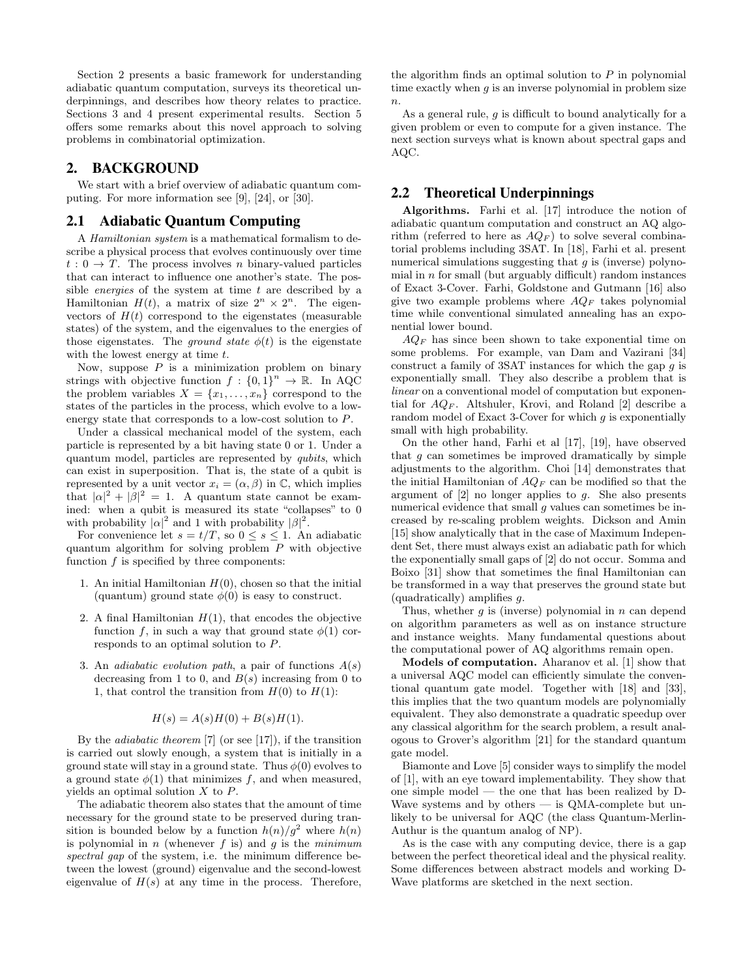Section 2 presents a basic framework for understanding adiabatic quantum computation, surveys its theoretical underpinnings, and describes how theory relates to practice. Sections 3 and 4 present experimental results. Section 5 offers some remarks about this novel approach to solving problems in combinatorial optimization.

# 2. BACKGROUND

We start with a brief overview of adiabatic quantum computing. For more information see [9], [24], or [30].

#### 2.1 Adiabatic Quantum Computing

A Hamiltonian system is a mathematical formalism to describe a physical process that evolves continuously over time  $t: 0 \to T$ . The process involves *n* binary-valued particles that can interact to influence one another's state. The possible *energies* of the system at time  $t$  are described by a Hamiltonian  $H(t)$ , a matrix of size  $2^n \times 2^n$ . The eigenvectors of  $H(t)$  correspond to the eigenstates (measurable states) of the system, and the eigenvalues to the energies of those eigenstates. The *ground state*  $\phi(t)$  is the eigenstate with the lowest energy at time t.

Now, suppose  $P$  is a minimization problem on binary strings with objective function  $f: \{0, 1\}^n \to \mathbb{R}$ . In AQC the problem variables  $X = \{x_1, \ldots, x_n\}$  correspond to the states of the particles in the process, which evolve to a lowenergy state that corresponds to a low-cost solution to P.

Under a classical mechanical model of the system, each particle is represented by a bit having state 0 or 1. Under a quantum model, particles are represented by qubits, which can exist in superposition. That is, the state of a qubit is represented by a unit vector  $x_i = (\alpha, \beta)$  in  $\mathbb{C}$ , which implies that  $|\alpha|^2 + |\beta|^2 = 1$ . A quantum state cannot be examined: when a qubit is measured its state "collapses" to 0 with probability  $|\alpha|^2$  and 1 with probability  $|\beta|^2$ .

For convenience let  $s = t/T$ , so  $0 \leq s \leq 1$ . An adiabatic quantum algorithm for solving problem  $P$  with objective function  $f$  is specified by three components:

- 1. An initial Hamiltonian  $H(0)$ , chosen so that the initial (quantum) ground state  $\phi(0)$  is easy to construct.
- 2. A final Hamiltonian  $H(1)$ , that encodes the objective function f, in such a way that ground state  $\phi(1)$  corresponds to an optimal solution to P.
- 3. An *adiabatic evolution path*, a pair of functions  $A(s)$ decreasing from 1 to 0, and  $B(s)$  increasing from 0 to 1, that control the transition from  $H(0)$  to  $H(1)$ :

$$
H(s) = A(s)H(0) + B(s)H(1).
$$

By the *adiabatic theorem* [7] (or see [17]), if the transition is carried out slowly enough, a system that is initially in a ground state will stay in a ground state. Thus  $\phi(0)$  evolves to a ground state  $\phi(1)$  that minimizes f, and when measured, yields an optimal solution X to P.

The adiabatic theorem also states that the amount of time necessary for the ground state to be preserved during transition is bounded below by a function  $h(n)/g^2$  where  $h(n)$ is polynomial in n (whenever f is) and g is the minimum spectral gap of the system, i.e. the minimum difference between the lowest (ground) eigenvalue and the second-lowest eigenvalue of  $H(s)$  at any time in the process. Therefore,

the algorithm finds an optimal solution to  $P$  in polynomial time exactly when  $q$  is an inverse polynomial in problem size  $\overline{n}$ .

As a general rule,  $q$  is difficult to bound analytically for a given problem or even to compute for a given instance. The next section surveys what is known about spectral gaps and AQC.

# 2.2 Theoretical Underpinnings

Algorithms. Farhi et al. [17] introduce the notion of adiabatic quantum computation and construct an AQ algorithm (referred to here as  $AQ_F$ ) to solve several combinatorial problems including 3SAT. In [18], Farhi et al. present numerical simulations suggesting that  $g$  is (inverse) polynomial in  $n$  for small (but arguably difficult) random instances of Exact 3-Cover. Farhi, Goldstone and Gutmann [16] also give two example problems where  $AQ_F$  takes polynomial time while conventional simulated annealing has an exponential lower bound.

 $AQ<sub>F</sub>$  has since been shown to take exponential time on some problems. For example, van Dam and Vazirani [34] construct a family of 3SAT instances for which the gap  $q$  is exponentially small. They also describe a problem that is linear on a conventional model of computation but exponential for  $AQ_F$ . Altshuler, Krovi, and Roland [2] describe a random model of Exact 3-Cover for which  $q$  is exponentially small with high probability.

On the other hand, Farhi et al [17], [19], have observed that  $g$  can sometimes be improved dramatically by simple adjustments to the algorithm. Choi [14] demonstrates that the initial Hamiltonian of  $AQ_F$  can be modified so that the argument of  $[2]$  no longer applies to g. She also presents numerical evidence that small  $g$  values can sometimes be increased by re-scaling problem weights. Dickson and Amin [15] show analytically that in the case of Maximum Independent Set, there must always exist an adiabatic path for which the exponentially small gaps of [2] do not occur. Somma and Boixo [31] show that sometimes the final Hamiltonian can be transformed in a way that preserves the ground state but (quadratically) amplifies g.

Thus, whether  $g$  is (inverse) polynomial in  $n$  can depend on algorithm parameters as well as on instance structure and instance weights. Many fundamental questions about the computational power of AQ algorithms remain open.

Models of computation. Aharanov et al. [1] show that a universal AQC model can efficiently simulate the conventional quantum gate model. Together with [18] and [33], this implies that the two quantum models are polynomially equivalent. They also demonstrate a quadratic speedup over any classical algorithm for the search problem, a result analogous to Grover's algorithm [21] for the standard quantum gate model.

Biamonte and Love [5] consider ways to simplify the model of [1], with an eye toward implementability. They show that one simple model — the one that has been realized by D-Wave systems and by others  $-$  is QMA-complete but unlikely to be universal for AQC (the class Quantum-Merlin-Authur is the quantum analog of NP).

As is the case with any computing device, there is a gap between the perfect theoretical ideal and the physical reality. Some differences between abstract models and working D-Wave platforms are sketched in the next section.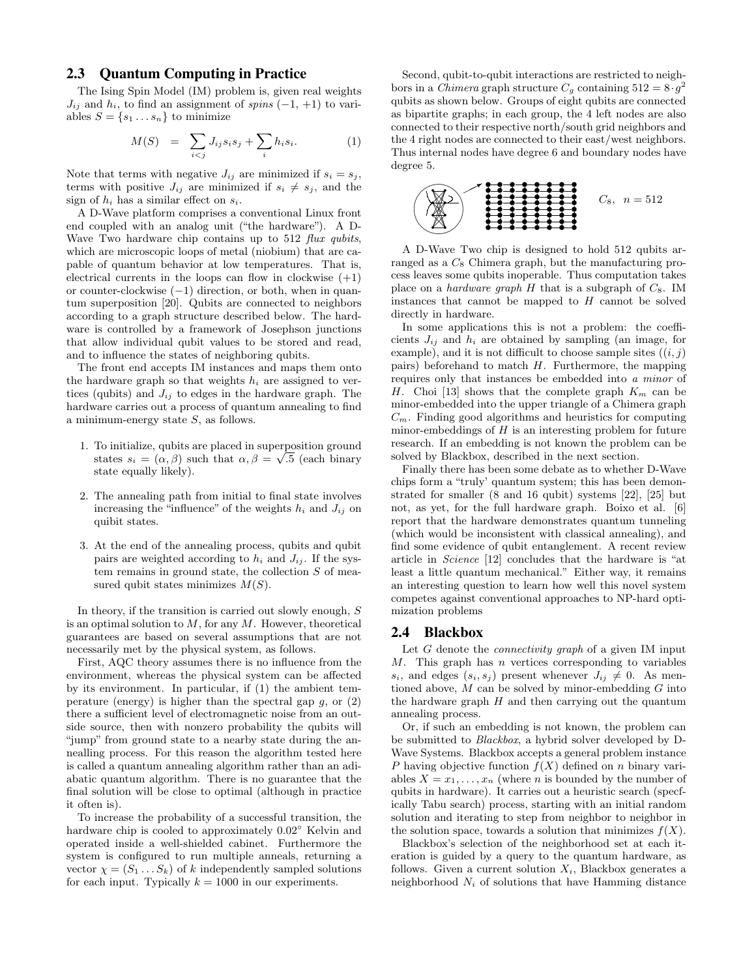# 2.3 Quantum Computing in Practice

The Ising Spin Model (IM) problem is, given real weights  $J_{ij}$  and  $h_i$ , to find an assignment of spins  $(-1, +1)$  to variables  $S = \{s_1 \dots s_n\}$  to minimize

$$
M(S) = \sum_{i < j} J_{ij} s_i s_j + \sum_i h_i s_i. \tag{1}
$$

Note that terms with negative  $J_{ij}$  are minimized if  $s_i = s_j$ , terms with positive  $J_{ij}$  are minimized if  $s_i \neq s_j$ , and the sign of  $h_i$  has a similar effect on  $s_i$ .

A D-Wave platform comprises a conventional Linux front end coupled with an analog unit ("the hardware"). A D-Wave Two hardware chip contains up to 512 flux qubits, which are microscopic loops of metal (niobium) that are capable of quantum behavior at low temperatures. That is, electrical currents in the loops can flow in clockwise  $(+1)$ or counter-clockwise (−1) direction, or both, when in quantum superposition [20]. Qubits are connected to neighbors according to a graph structure described below. The hardware is controlled by a framework of Josephson junctions that allow individual qubit values to be stored and read, and to influence the states of neighboring qubits.

The front end accepts IM instances and maps them onto the hardware graph so that weights  $h_i$  are assigned to vertices (qubits) and  $J_{ij}$  to edges in the hardware graph. The hardware carries out a process of quantum annealing to find a minimum-energy state  $S$ , as follows.

- 1. To initialize, qubits are placed in superposition ground √ states  $s_i = (\alpha, \beta)$  such that  $\alpha, \beta = \sqrt{.5}$  (each binary state equally likely).
- 2. The annealing path from initial to final state involves increasing the "influence" of the weights  $h_i$  and  $J_{ij}$  on quibit states.
- 3. At the end of the annealing process, qubits and qubit pairs are weighted according to  $h_i$  and  $J_{ij}$ . If the system remains in ground state, the collection  $S$  of measured qubit states minimizes  $M(S)$ .

In theory, if the transition is carried out slowly enough, S is an optimal solution to  $M$ , for any  $M$ . However, theoretical guarantees are based on several assumptions that are not necessarily met by the physical system, as follows.

First, AQC theory assumes there is no influence from the environment, whereas the physical system can be affected by its environment. In particular, if (1) the ambient temperature (energy) is higher than the spectral gap  $q$ , or  $(2)$ there a sufficient level of electromagnetic noise from an outside source, then with nonzero probability the qubits will "jump" from ground state to a nearby state during the annealling process. For this reason the algorithm tested here is called a quantum annealing algorithm rather than an adiabatic quantum algorithm. There is no guarantee that the final solution will be close to optimal (although in practice it often is).

To increase the probability of a successful transition, the hardware chip is cooled to approximately 0.02◦ Kelvin and operated inside a well-shielded cabinet. Furthermore the system is configured to run multiple anneals, returning a vector  $\chi = (S_1 \dots S_k)$  of k independently sampled solutions for each input. Typically  $k = 1000$  in our experiments.

Second, qubit-to-qubit interactions are restricted to neighbors in a *Chimera* graph structure  $C_g$  containing  $512 = 8 \cdot g^2$ qubits as shown below. Groups of eight qubits are connected as bipartite graphs; in each group, the 4 left nodes are also connected to their respective north/south grid neighbors and the 4 right nodes are connected to their east/west neighbors. Thus internal nodes have degree 6 and boundary nodes have degree 5.



A D-Wave Two chip is designed to hold 512 qubits arranged as a  $C_8$  Chimera graph, but the manufacturing process leaves some qubits inoperable. Thus computation takes place on a *hardware graph*  $H$  that is a subgraph of  $C_8$ . IM instances that cannot be mapped to  $H$  cannot be solved directly in hardware.

In some applications this is not a problem: the coefficients  $J_{ij}$  and  $h_i$  are obtained by sampling (an image, for example), and it is not difficult to choose sample sites  $((i, j)$ pairs) beforehand to match  $H$ . Furthermore, the mapping requires only that instances be embedded into a minor of H. Choi [13] shows that the complete graph  $K_m$  can be minor-embedded into the upper triangle of a Chimera graph  $C_m$ . Finding good algorithms and heuristics for computing minor-embeddings of  $H$  is an interesting problem for future research. If an embedding is not known the problem can be solved by Blackbox, described in the next section.

Finally there has been some debate as to whether D-Wave chips form a "truly' quantum system; this has been demonstrated for smaller (8 and 16 qubit) systems [22], [25] but not, as yet, for the full hardware graph. Boixo et al. [6] report that the hardware demonstrates quantum tunneling (which would be inconsistent with classical annealing), and find some evidence of qubit entanglement. A recent review article in Science [12] concludes that the hardware is "at least a little quantum mechanical." Either way, it remains an interesting question to learn how well this novel system competes against conventional approaches to NP-hard optimization problems

# 2.4 Blackbox

Let  $G$  denote the *connectivity graph* of a given IM input  $M$ . This graph has *n* vertices corresponding to variables  $s_i$ , and edges  $(s_i, s_j)$  present whenever  $J_{ij} \neq 0$ . As mentioned above,  $M$  can be solved by minor-embedding  $G$  into the hardware graph  $H$  and then carrying out the quantum annealing process.

Or, if such an embedding is not known, the problem can be submitted to Blackbox, a hybrid solver developed by D-Wave Systems. Blackbox accepts a general problem instance P having objective function  $f(X)$  defined on n binary variables  $X = x_1, \ldots, x_n$  (where *n* is bounded by the number of qubits in hardware). It carries out a heuristic search (specfically Tabu search) process, starting with an initial random solution and iterating to step from neighbor to neighbor in the solution space, towards a solution that minimizes  $f(X)$ .

Blackbox's selection of the neighborhood set at each iteration is guided by a query to the quantum hardware, as follows. Given a current solution  $X_i$ , Blackbox generates a neighborhood  $N_i$  of solutions that have Hamming distance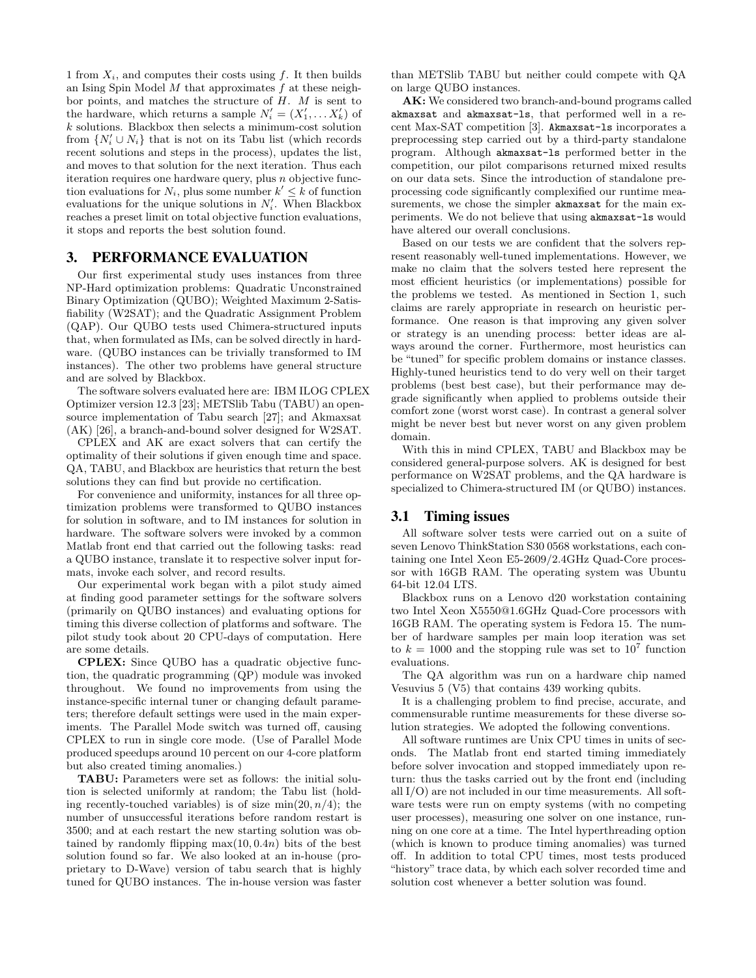1 from  $X_i$ , and computes their costs using f. It then builds an Ising Spin Model  $M$  that approximates  $f$  at these neighbor points, and matches the structure of  $H$ .  $M$  is sent to the hardware, which returns a sample  $N'_{i} = (X'_{1}, \ldots, X'_{k})$  of k solutions. Blackbox then selects a minimum-cost solution from  $\{N_i' \cup N_i\}$  that is not on its Tabu list (which records recent solutions and steps in the process), updates the list, and moves to that solution for the next iteration. Thus each iteration requires one hardware query, plus n objective function evaluations for  $N_i$ , plus some number  $k' \leq k$  of function evaluations for the unique solutions in  $N_i'$ . When Blackbox reaches a preset limit on total objective function evaluations, it stops and reports the best solution found.

#### 3. PERFORMANCE EVALUATION

Our first experimental study uses instances from three NP-Hard optimization problems: Quadratic Unconstrained Binary Optimization (QUBO); Weighted Maximum 2-Satisfiability (W2SAT); and the Quadratic Assignment Problem (QAP). Our QUBO tests used Chimera-structured inputs that, when formulated as IMs, can be solved directly in hardware. (QUBO instances can be trivially transformed to IM instances). The other two problems have general structure and are solved by Blackbox.

The software solvers evaluated here are: IBM ILOG CPLEX Optimizer version 12.3 [23]; METSlib Tabu (TABU) an opensource implementation of Tabu search [27]; and Akmaxsat (AK) [26], a branch-and-bound solver designed for W2SAT.

CPLEX and AK are exact solvers that can certify the optimality of their solutions if given enough time and space. QA, TABU, and Blackbox are heuristics that return the best solutions they can find but provide no certification.

For convenience and uniformity, instances for all three optimization problems were transformed to QUBO instances for solution in software, and to IM instances for solution in hardware. The software solvers were invoked by a common Matlab front end that carried out the following tasks: read a QUBO instance, translate it to respective solver input formats, invoke each solver, and record results.

Our experimental work began with a pilot study aimed at finding good parameter settings for the software solvers (primarily on QUBO instances) and evaluating options for timing this diverse collection of platforms and software. The pilot study took about 20 CPU-days of computation. Here are some details.

CPLEX: Since QUBO has a quadratic objective function, the quadratic programming (QP) module was invoked throughout. We found no improvements from using the instance-specific internal tuner or changing default parameters; therefore default settings were used in the main experiments. The Parallel Mode switch was turned off, causing CPLEX to run in single core mode. (Use of Parallel Mode produced speedups around 10 percent on our 4-core platform but also created timing anomalies.)

TABU: Parameters were set as follows: the initial solution is selected uniformly at random; the Tabu list (holding recently-touched variables) is of size  $\min(20, n/4)$ ; the number of unsuccessful iterations before random restart is 3500; and at each restart the new starting solution was obtained by randomly flipping  $max(10, 0.4n)$  bits of the best solution found so far. We also looked at an in-house (proprietary to D-Wave) version of tabu search that is highly tuned for QUBO instances. The in-house version was faster than METSlib TABU but neither could compete with QA on large QUBO instances.

AK: We considered two branch-and-bound programs called akmaxsat and akmaxsat-ls, that performed well in a recent Max-SAT competition [3]. Akmaxsat-ls incorporates a preprocessing step carried out by a third-party standalone program. Although akmaxsat-ls performed better in the competition, our pilot comparisons returned mixed results on our data sets. Since the introduction of standalone preprocessing code significantly complexified our runtime measurements, we chose the simpler akmaxsat for the main experiments. We do not believe that using akmaxsat-ls would have altered our overall conclusions.

Based on our tests we are confident that the solvers represent reasonably well-tuned implementations. However, we make no claim that the solvers tested here represent the most efficient heuristics (or implementations) possible for the problems we tested. As mentioned in Section 1, such claims are rarely appropriate in research on heuristic performance. One reason is that improving any given solver or strategy is an unending process: better ideas are always around the corner. Furthermore, most heuristics can be "tuned" for specific problem domains or instance classes. Highly-tuned heuristics tend to do very well on their target problems (best best case), but their performance may degrade significantly when applied to problems outside their comfort zone (worst worst case). In contrast a general solver might be never best but never worst on any given problem domain.

With this in mind CPLEX, TABU and Blackbox may be considered general-purpose solvers. AK is designed for best performance on W2SAT problems, and the QA hardware is specialized to Chimera-structured IM (or QUBO) instances.

#### 3.1 Timing issues

All software solver tests were carried out on a suite of seven Lenovo ThinkStation S30 0568 workstations, each containing one Intel Xeon E5-2609/2.4GHz Quad-Core processor with 16GB RAM. The operating system was Ubuntu 64-bit 12.04 LTS.

Blackbox runs on a Lenovo d20 workstation containing two Intel Xeon X5550@1.6GHz Quad-Core processors with 16GB RAM. The operating system is Fedora 15. The number of hardware samples per main loop iteration was set to  $k = 1000$  and the stopping rule was set to  $10^7$  function evaluations.

The QA algorithm was run on a hardware chip named Vesuvius 5 (V5) that contains 439 working qubits.

It is a challenging problem to find precise, accurate, and commensurable runtime measurements for these diverse solution strategies. We adopted the following conventions.

All software runtimes are Unix CPU times in units of seconds. The Matlab front end started timing immediately before solver invocation and stopped immediately upon return: thus the tasks carried out by the front end (including all I/O) are not included in our time measurements. All software tests were run on empty systems (with no competing user processes), measuring one solver on one instance, running on one core at a time. The Intel hyperthreading option (which is known to produce timing anomalies) was turned off. In addition to total CPU times, most tests produced "history" trace data, by which each solver recorded time and solution cost whenever a better solution was found.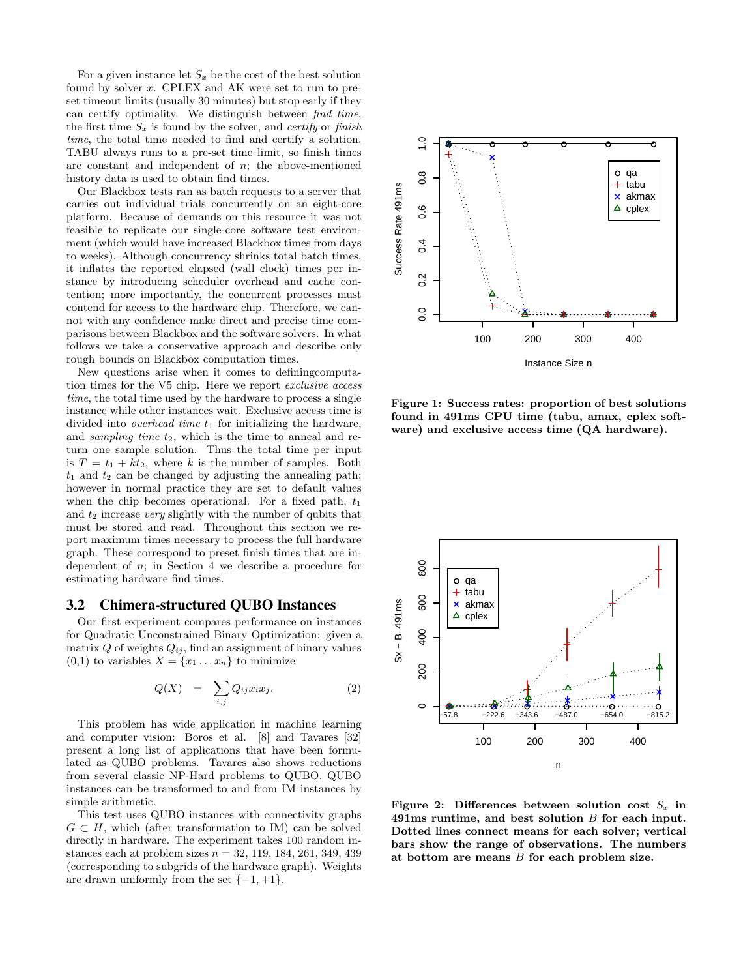For a given instance let  $S_x$  be the cost of the best solution found by solver x. CPLEX and AK were set to run to preset timeout limits (usually 30 minutes) but stop early if they can certify optimality. We distinguish between find time, the first time  $S_x$  is found by the solver, and *certify* or finish time, the total time needed to find and certify a solution. TABU always runs to a pre-set time limit, so finish times are constant and independent of  $n$ ; the above-mentioned history data is used to obtain find times.

Our Blackbox tests ran as batch requests to a server that carries out individual trials concurrently on an eight-core platform. Because of demands on this resource it was not feasible to replicate our single-core software test environment (which would have increased Blackbox times from days to weeks). Although concurrency shrinks total batch times, it inflates the reported elapsed (wall clock) times per instance by introducing scheduler overhead and cache contention; more importantly, the concurrent processes must contend for access to the hardware chip. Therefore, we cannot with any confidence make direct and precise time comparisons between Blackbox and the software solvers. In what follows we take a conservative approach and describe only rough bounds on Blackbox computation times.

New questions arise when it comes to definingcomputation times for the V5 chip. Here we report exclusive access time, the total time used by the hardware to process a single instance while other instances wait. Exclusive access time is divided into *overhead time*  $t_1$  for initializing the hardware, and sampling time  $t_2$ , which is the time to anneal and return one sample solution. Thus the total time per input is  $T = t_1 + kt_2$ , where k is the number of samples. Both  $t_1$  and  $t_2$  can be changed by adjusting the annealing path; however in normal practice they are set to default values when the chip becomes operational. For a fixed path,  $t_1$ and  $t_2$  increase very slightly with the number of qubits that must be stored and read. Throughout this section we report maximum times necessary to process the full hardware graph. These correspond to preset finish times that are independent of  $n$ ; in Section 4 we describe a procedure for estimating hardware find times.

#### 3.2 Chimera-structured QUBO Instances

Our first experiment compares performance on instances for Quadratic Unconstrained Binary Optimization: given a matrix  $Q$  of weights  $Q_{ij}$ , find an assignment of binary values  $(0,1)$  to variables  $X = \{x_1 \dots x_n\}$  to minimize

$$
Q(X) = \sum_{i,j} Q_{ij} x_i x_j. \tag{2}
$$

This problem has wide application in machine learning and computer vision: Boros et al. [8] and Tavares [32] present a long list of applications that have been formulated as QUBO problems. Tavares also shows reductions from several classic NP-Hard problems to QUBO. QUBO instances can be transformed to and from IM instances by simple arithmetic.

This test uses QUBO instances with connectivity graphs  $G \subset H$ , which (after transformation to IM) can be solved directly in hardware. The experiment takes 100 random instances each at problem sizes  $n = 32, 119, 184, 261, 349, 439$ (corresponding to subgrids of the hardware graph). Weights are drawn uniformly from the set  $\{-1, +1\}.$ 



Figure 1: Success rates: proportion of best solutions found in 491ms CPU time (tabu, amax, cplex software) and exclusive access time (QA hardware).



Figure 2: Differences between solution cost  $S_x$  in 491ms runtime, and best solution B for each input. Dotted lines connect means for each solver; vertical bars show the range of observations. The numbers at bottom are means  $\overline{B}$  for each problem size.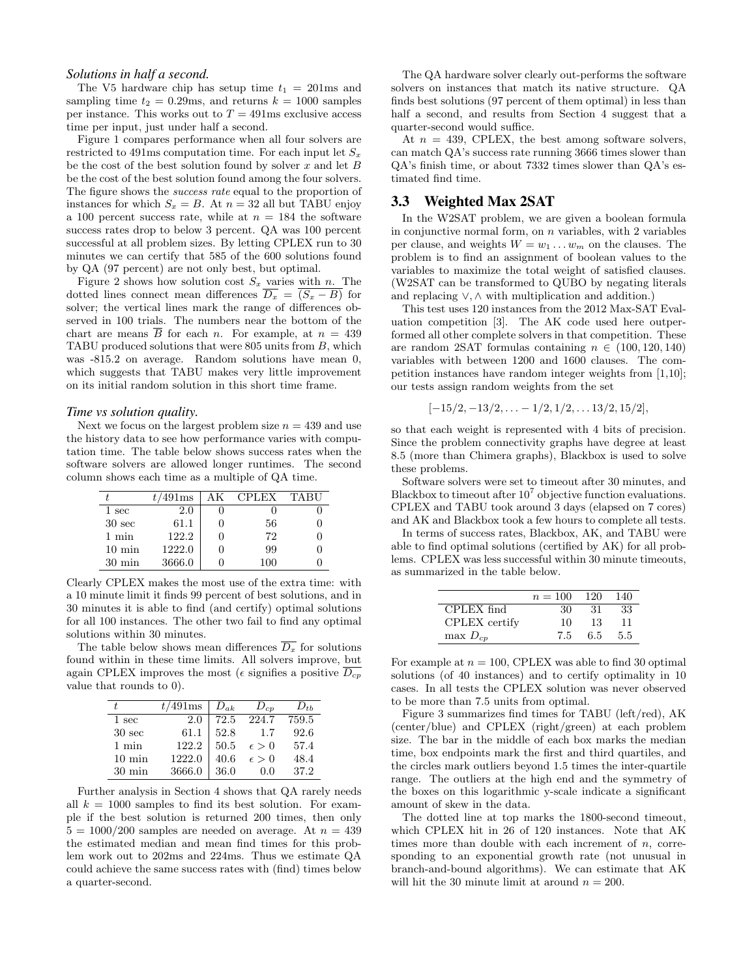#### *Solutions in half a second.*

The V5 hardware chip has setup time  $t_1 = 201$ ms and sampling time  $t_2 = 0.29$ ms, and returns  $k = 1000$  samples per instance. This works out to  $T = 491$ ms exclusive access time per input, just under half a second.

Figure 1 compares performance when all four solvers are restricted to 491ms computation time. For each input let  $S_x$ be the cost of the best solution found by solver  $x$  and let  $B$ be the cost of the best solution found among the four solvers. The figure shows the *success rate* equal to the proportion of instances for which  $S_x = B$ . At  $n = 32$  all but TABU enjoy a 100 percent success rate, while at  $n = 184$  the software success rates drop to below 3 percent. QA was 100 percent successful at all problem sizes. By letting CPLEX run to 30 minutes we can certify that 585 of the 600 solutions found by QA (97 percent) are not only best, but optimal.

Figure 2 shows how solution cost  $S_x$  varies with n. The dotted lines connect mean differences  $\overline{D_x} = \overline{(S_x - B)}$  for solver; the vertical lines mark the range of differences observed in 100 trials. The numbers near the bottom of the chart are means  $\overline{B}$  for each *n*. For example, at  $n = 439$ TABU produced solutions that were 805 units from B, which was -815.2 on average. Random solutions have mean 0, which suggests that TABU makes very little improvement on its initial random solution in this short time frame.

#### *Time vs solution quality.*

Next we focus on the largest problem size  $n = 439$  and use the history data to see how performance varies with computation time. The table below shows success rates when the software solvers are allowed longer runtimes. The second column shows each time as a multiple of QA time.

|                   | $t/491\text{ms}$ | АK | CPLEX | TABU |
|-------------------|------------------|----|-------|------|
| 1 sec             | $2.0\,$          |    |       |      |
| 30 <sub>sec</sub> | 61.1             |    | 56    |      |
| $1 \text{ min}$   | 122.2            |    | 72    |      |
| $10 \text{ min}$  | 1222.0           |    | 99    |      |
| $30 \text{ min}$  | 3666.0           |    | 100   |      |

Clearly CPLEX makes the most use of the extra time: with a 10 minute limit it finds 99 percent of best solutions, and in 30 minutes it is able to find (and certify) optimal solutions for all 100 instances. The other two fail to find any optimal solutions within 30 minutes.

The table below shows mean differences  $\overline{D_x}$  for solutions found within in these time limits. All solvers improve, but again CPLEX improves the most ( $\epsilon$  signifies a positive  $D_{cp}$ value that rounds to 0).

|                   | $t/491$ ms | $D_{ak}$ | $D_{cp}$       | $D_{th}$ |
|-------------------|------------|----------|----------------|----------|
| 1 sec             | 2.0        | 72.5     | 224.7          | 759.5    |
| 30 <sub>sec</sub> | 61.1       | 52.8     | 1.7            | 92.6     |
| $1$ min           | 122.2      | 50.5     | $\epsilon > 0$ | 57.4     |
| $10 \text{ min}$  | 1222.0     | 40.6     | $\epsilon > 0$ | 48.4     |
| $30 \text{ min}$  | 3666.0     | 36.0     | (0.0)          | 37.2     |

Further analysis in Section 4 shows that QA rarely needs all  $k = 1000$  samples to find its best solution. For example if the best solution is returned 200 times, then only  $5 = 1000/200$  samples are needed on average. At  $n = 439$ the estimated median and mean find times for this problem work out to 202ms and 224ms. Thus we estimate QA could achieve the same success rates with (find) times below a quarter-second.

The QA hardware solver clearly out-performs the software solvers on instances that match its native structure. QA finds best solutions (97 percent of them optimal) in less than half a second, and results from Section 4 suggest that a quarter-second would suffice.

At  $n = 439$ , CPLEX, the best among software solvers, can match QA's success rate running 3666 times slower than QA's finish time, or about 7332 times slower than QA's estimated find time.

# 3.3 Weighted Max 2SAT

In the W2SAT problem, we are given a boolean formula in conjunctive normal form, on  $n$  variables, with 2 variables per clause, and weights  $W = w_1 \dots w_m$  on the clauses. The problem is to find an assignment of boolean values to the variables to maximize the total weight of satisfied clauses. (W2SAT can be transformed to QUBO by negating literals and replacing ∨, ∧ with multiplication and addition.)

This test uses 120 instances from the 2012 Max-SAT Evaluation competition [3]. The AK code used here outperformed all other complete solvers in that competition. These are random 2SAT formulas containing  $n \in (100, 120, 140)$ variables with between 1200 and 1600 clauses. The competition instances have random integer weights from [1,10]; our tests assign random weights from the set

$$
[-15/2, -13/2, \ldots -1/2, 1/2, \ldots 13/2, 15/2],
$$

so that each weight is represented with 4 bits of precision. Since the problem connectivity graphs have degree at least 8.5 (more than Chimera graphs), Blackbox is used to solve these problems.

Software solvers were set to timeout after 30 minutes, and Blackbox to timeout after  $10^7$  objective function evaluations. CPLEX and TABU took around 3 days (elapsed on 7 cores) and AK and Blackbox took a few hours to complete all tests.

In terms of success rates, Blackbox, AK, and TABU were able to find optimal solutions (certified by AK) for all problems. CPLEX was less successful within 30 minute timeouts, as summarized in the table below.

|               | $n = 100$ | 120 | 140 |
|---------------|-----------|-----|-----|
| CPLEX find    | 30        | 31  | 33  |
| CPLEX certify | 10        | 13  | 11  |
| $\max D_{cp}$ | 75        | 6.5 | 5.5 |

For example at  $n = 100$ , CPLEX was able to find 30 optimal solutions (of 40 instances) and to certify optimality in 10 cases. In all tests the CPLEX solution was never observed to be more than 7.5 units from optimal.

Figure 3 summarizes find times for TABU (left/red), AK (center/blue) and CPLEX (right/green) at each problem size. The bar in the middle of each box marks the median time, box endpoints mark the first and third quartiles, and the circles mark outliers beyond 1.5 times the inter-quartile range. The outliers at the high end and the symmetry of the boxes on this logarithmic y-scale indicate a significant amount of skew in the data.

The dotted line at top marks the 1800-second timeout, which CPLEX hit in 26 of 120 instances. Note that AK times more than double with each increment of  $n$ , corresponding to an exponential growth rate (not unusual in branch-and-bound algorithms). We can estimate that AK will hit the 30 minute limit at around  $n = 200$ .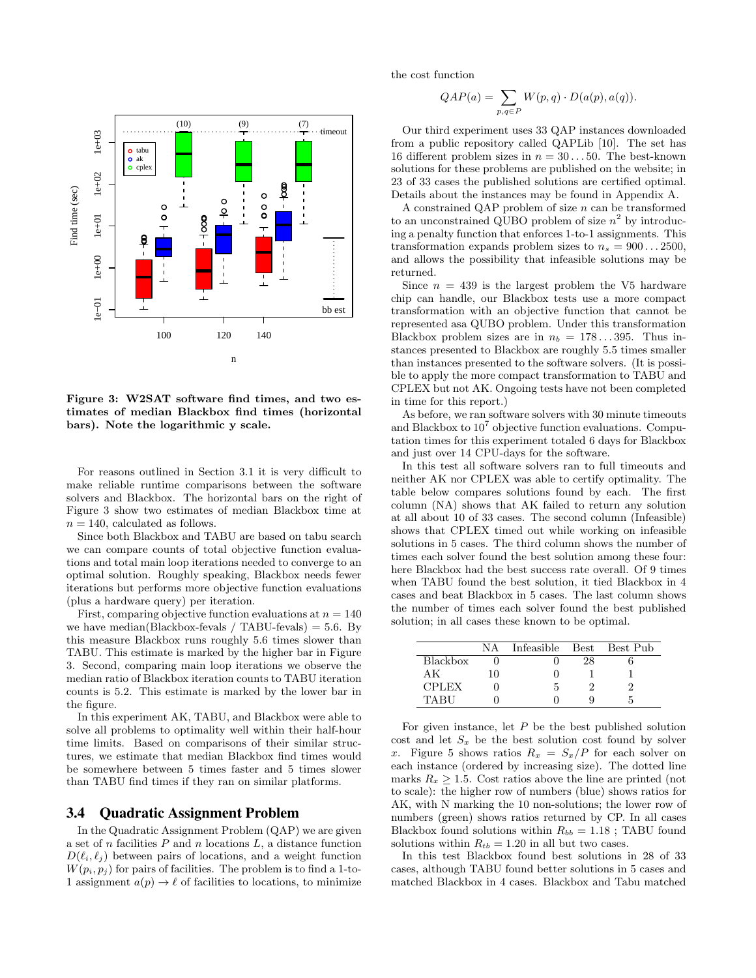

Figure 3: W2SAT software find times, and two estimates of median Blackbox find times (horizontal bars). Note the logarithmic y scale.

For reasons outlined in Section 3.1 it is very difficult to make reliable runtime comparisons between the software solvers and Blackbox. The horizontal bars on the right of Figure 3 show two estimates of median Blackbox time at  $n = 140$ , calculated as follows.

Since both Blackbox and TABU are based on tabu search we can compare counts of total objective function evaluations and total main loop iterations needed to converge to an optimal solution. Roughly speaking, Blackbox needs fewer iterations but performs more objective function evaluations (plus a hardware query) per iteration.

First, comparing objective function evaluations at  $n = 140$ we have median(Blackbox-fevals / TABU-fevals)  $= 5.6$ . By this measure Blackbox runs roughly 5.6 times slower than TABU. This estimate is marked by the higher bar in Figure 3. Second, comparing main loop iterations we observe the median ratio of Blackbox iteration counts to TABU iteration counts is 5.2. This estimate is marked by the lower bar in the figure.

In this experiment AK, TABU, and Blackbox were able to solve all problems to optimality well within their half-hour time limits. Based on comparisons of their similar structures, we estimate that median Blackbox find times would be somewhere between 5 times faster and 5 times slower than TABU find times if they ran on similar platforms.

#### 3.4 Quadratic Assignment Problem

In the Quadratic Assignment Problem (QAP) we are given a set of n facilities  $P$  and n locations  $L$ , a distance function  $D(\ell_i, \ell_j)$  between pairs of locations, and a weight function  $W(p_i, p_j)$  for pairs of facilities. The problem is to find a 1-to-1 assignment  $a(p) \to \ell$  of facilities to locations, to minimize the cost function

$$
QAP(a) = \sum_{p,q \in P} W(p,q) \cdot D(a(p),a(q)).
$$

Our third experiment uses 33 QAP instances downloaded from a public repository called QAPLib [10]. The set has 16 different problem sizes in  $n = 30...50$ . The best-known solutions for these problems are published on the website; in 23 of 33 cases the published solutions are certified optimal. Details about the instances may be found in Appendix A.

A constrained QAP problem of size  $n$  can be transformed to an unconstrained QUBO problem of size  $n^2$  by introducing a penalty function that enforces 1-to-1 assignments. This transformation expands problem sizes to  $n_s = 900...2500$ , and allows the possibility that infeasible solutions may be returned.

Since  $n = 439$  is the largest problem the V5 hardware chip can handle, our Blackbox tests use a more compact transformation with an objective function that cannot be represented asa QUBO problem. Under this transformation Blackbox problem sizes are in  $n_b = 178...395$ . Thus instances presented to Blackbox are roughly 5.5 times smaller than instances presented to the software solvers. (It is possible to apply the more compact transformation to TABU and CPLEX but not AK. Ongoing tests have not been completed in time for this report.)

As before, we ran software solvers with 30 minute timeouts and Blackbox to  $10^7$  objective function evaluations. Computation times for this experiment totaled 6 days for Blackbox and just over 14 CPU-days for the software.

In this test all software solvers ran to full timeouts and neither AK nor CPLEX was able to certify optimality. The table below compares solutions found by each. The first column (NA) shows that AK failed to return any solution at all about 10 of 33 cases. The second column (Infeasible) shows that CPLEX timed out while working on infeasible solutions in 5 cases. The third column shows the number of times each solver found the best solution among these four: here Blackbox had the best success rate overall. Of 9 times when TABU found the best solution, it tied Blackbox in 4 cases and beat Blackbox in 5 cases. The last column shows the number of times each solver found the best published solution; in all cases these known to be optimal.

|              | NА | Infeasible | Best | Best Pub |
|--------------|----|------------|------|----------|
| Blackbox     |    |            |      |          |
| ΑK           | 10 |            |      |          |
| <b>CPLEX</b> |    | h          |      |          |
| TARU         |    |            |      |          |

For given instance, let  $P$  be the best published solution cost and let  $S_x$  be the best solution cost found by solver x. Figure 5 shows ratios  $R_x = S_x/P$  for each solver on each instance (ordered by increasing size). The dotted line marks  $R_x \geq 1.5$ . Cost ratios above the line are printed (not to scale): the higher row of numbers (blue) shows ratios for AK, with N marking the 10 non-solutions; the lower row of numbers (green) shows ratios returned by CP. In all cases Blackbox found solutions within  $R_{bb} = 1.18$ ; TABU found solutions within  $R_{tb} = 1.20$  in all but two cases.

In this test Blackbox found best solutions in 28 of 33 cases, although TABU found better solutions in 5 cases and matched Blackbox in 4 cases. Blackbox and Tabu matched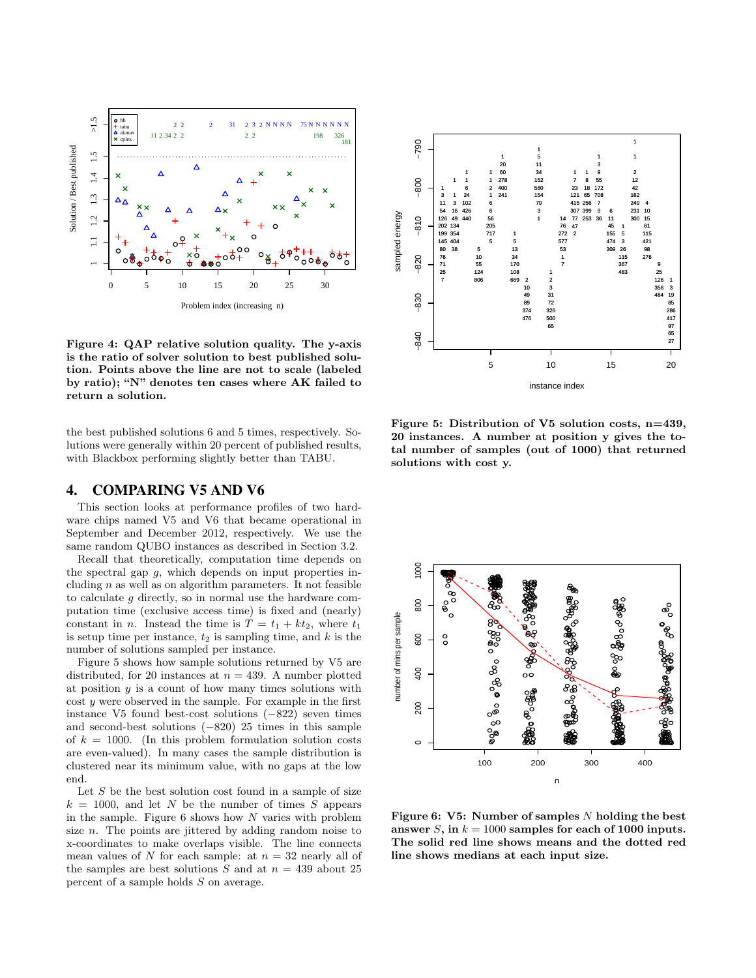

Figure 4: QAP relative solution quality. The y-axis is the ratio of solver solution to best published solution. Points above the line are not to scale (labeled by ratio); "N" denotes ten cases where AK failed to return a solution.

the best published solutions 6 and 5 times, respectively. Solutions were generally within 20 percent of published results, with Blackbox performing slightly better than TABU.

#### 4. COMPARING V5 AND V6

This section looks at performance profiles of two hardware chips named V5 and V6 that became operational in September and December 2012, respectively. We use the same random QUBO instances as described in Section 3.2.

Recall that theoretically, computation time depends on the spectral gap  $q$ , which depends on input properties including  $n$  as well as on algorithm parameters. It not feasible to calculate g directly, so in normal use the hardware computation time (exclusive access time) is fixed and (nearly) constant in *n*. Instead the time is  $T = t_1 + kt_2$ , where  $t_1$ is setup time per instance,  $t_2$  is sampling time, and  $k$  is the number of solutions sampled per instance.

Figure 5 shows how sample solutions returned by V5 are distributed, for 20 instances at  $n = 439$ . A number plotted at position  $y$  is a count of how many times solutions with cost y were observed in the sample. For example in the first instance V5 found best-cost solutions (−822) seven times and second-best solutions (−820) 25 times in this sample of  $k = 1000$ . (In this problem formulation solution costs are even-valued). In many cases the sample distribution is clustered near its minimum value, with no gaps at the low end.

Let  $S$  be the best solution cost found in a sample of size  $k = 1000$ , and let N be the number of times S appears in the sample. Figure  $6$  shows how N varies with problem size n. The points are jittered by adding random noise to x-coordinates to make overlaps visible. The line connects mean values of N for each sample: at  $n = 32$  nearly all of the samples are best solutions  $S$  and at  $n = 439$  about 25 percent of a sample holds S on average.



Figure 5: Distribution of V5 solution costs, n=439, 20 instances. A number at position y gives the total number of samples (out of 1000) that returned solutions with cost y.



Figure 6: V5: Number of samples  $N$  holding the best answer S, in  $k = 1000$  samples for each of 1000 inputs. The solid red line shows means and the dotted red line shows medians at each input size.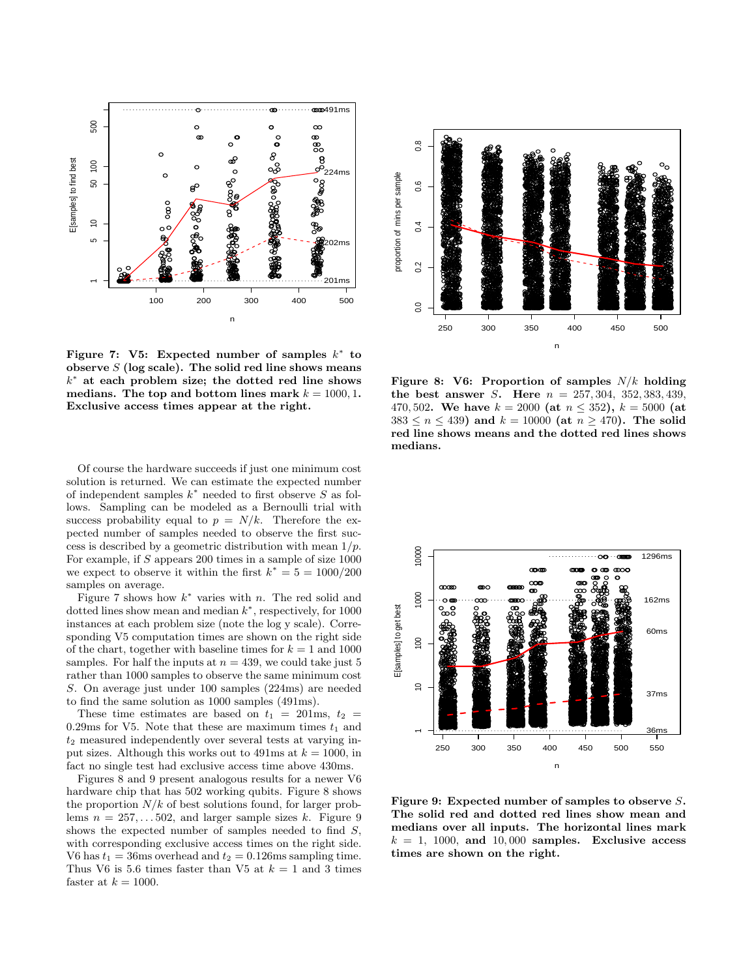

Figure 7: V5: Expected number of samples  $k^*$  to observe  $S$  (log scale). The solid red line shows means  $k^*$  at each problem size; the dotted red line shows medians. The top and bottom lines mark  $k = 1000, 1$ . Exclusive access times appear at the right.

Of course the hardware succeeds if just one minimum cost solution is returned. We can estimate the expected number of independent samples  $k^*$  needed to first observe S as follows. Sampling can be modeled as a Bernoulli trial with success probability equal to  $p = N/k$ . Therefore the expected number of samples needed to observe the first success is described by a geometric distribution with mean  $1/p$ . For example, if S appears 200 times in a sample of size  $1000$ we expect to observe it within the first  $k^* = 5 = 1000/200$ samples on average.

Figure 7 shows how  $k^*$  varies with n. The red solid and dotted lines show mean and median  $k^*$ , respectively, for 1000 instances at each problem size (note the log y scale). Corresponding V5 computation times are shown on the right side of the chart, together with baseline times for  $k = 1$  and 1000 samples. For half the inputs at  $n = 439$ , we could take just 5 rather than 1000 samples to observe the same minimum cost S. On average just under 100 samples (224ms) are needed to find the same solution as 1000 samples (491ms).

These time estimates are based on  $t_1 = 201$ ms,  $t_2 =$ 0.29ms for V5. Note that these are maximum times  $t_1$  and  $t_2$  measured independently over several tests at varying input sizes. Although this works out to 491ms at  $k = 1000$ , in fact no single test had exclusive access time above 430ms.

Figures 8 and 9 present analogous results for a newer V6 hardware chip that has 502 working qubits. Figure 8 shows the proportion  $N/k$  of best solutions found, for larger problems  $n = 257, \ldots, 502$ , and larger sample sizes k. Figure 9 shows the expected number of samples needed to find  $S$ , with corresponding exclusive access times on the right side. V6 has  $t_1 = 36$ ms overhead and  $t_2 = 0.126$ ms sampling time. Thus V6 is 5.6 times faster than V5 at  $k = 1$  and 3 times faster at  $k = 1000$ .



Figure 8: V6: Proportion of samples  $N/k$  holding the best answer *S*. Here  $n = 257, 304, 352, 383, 439$ , 470,502. We have  $k = 2000$  (at  $n \lt 352$ ),  $k = 5000$  (at  $383 \le n \le 439$ ) and  $k = 10000$  (at  $n \ge 470$ ). The solid red line shows means and the dotted red lines shows medians.



Figure 9: Expected number of samples to observe  $S$ . The solid red and dotted red lines show mean and medians over all inputs. The horizontal lines mark  $k = 1$ , 1000, and 10,000 samples. Exclusive access times are shown on the right.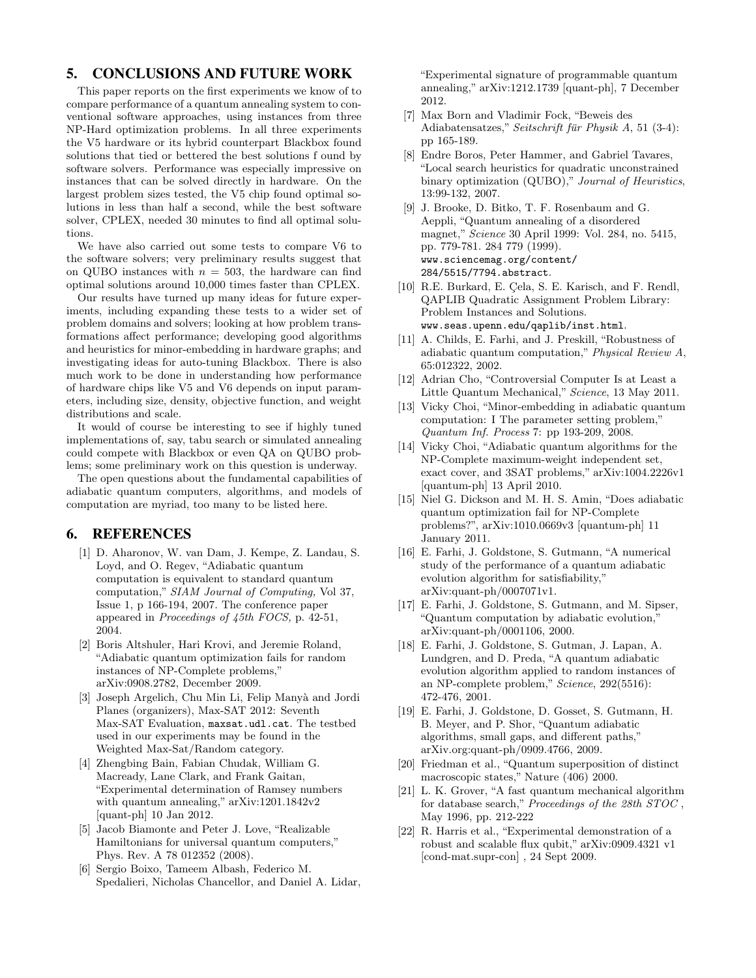# 5. CONCLUSIONS AND FUTURE WORK

This paper reports on the first experiments we know of to compare performance of a quantum annealing system to conventional software approaches, using instances from three NP-Hard optimization problems. In all three experiments the V5 hardware or its hybrid counterpart Blackbox found solutions that tied or bettered the best solutions f ound by software solvers. Performance was especially impressive on instances that can be solved directly in hardware. On the largest problem sizes tested, the V5 chip found optimal solutions in less than half a second, while the best software solver, CPLEX, needed 30 minutes to find all optimal solutions.

We have also carried out some tests to compare V6 to the software solvers; very preliminary results suggest that on QUBO instances with  $n = 503$ , the hardware can find optimal solutions around 10,000 times faster than CPLEX.

Our results have turned up many ideas for future experiments, including expanding these tests to a wider set of problem domains and solvers; looking at how problem transformations affect performance; developing good algorithms and heuristics for minor-embedding in hardware graphs; and investigating ideas for auto-tuning Blackbox. There is also much work to be done in understanding how performance of hardware chips like V5 and V6 depends on input parameters, including size, density, objective function, and weight distributions and scale.

It would of course be interesting to see if highly tuned implementations of, say, tabu search or simulated annealing could compete with Blackbox or even QA on QUBO problems; some preliminary work on this question is underway.

The open questions about the fundamental capabilities of adiabatic quantum computers, algorithms, and models of computation are myriad, too many to be listed here.

#### 6. REFERENCES

- [1] D. Aharonov, W. van Dam, J. Kempe, Z. Landau, S. Loyd, and O. Regev, "Adiabatic quantum computation is equivalent to standard quantum computation," SIAM Journal of Computing, Vol 37, Issue 1, p 166-194, 2007. The conference paper appeared in Proceedings of 45th FOCS, p. 42-51, 2004.
- [2] Boris Altshuler, Hari Krovi, and Jeremie Roland, "Adiabatic quantum optimization fails for random instances of NP-Complete problems," arXiv:0908.2782, December 2009.
- [3] Joseph Argelich, Chu Min Li, Felip Manyà and Jordi Planes (organizers), Max-SAT 2012: Seventh Max-SAT Evaluation, maxsat.udl.cat. The testbed used in our experiments may be found in the Weighted Max-Sat/Random category.
- [4] Zhengbing Bain, Fabian Chudak, William G. Macready, Lane Clark, and Frank Gaitan, "Experimental determination of Ramsey numbers with quantum annealing," arXiv:1201.1842v2 [quant-ph] 10 Jan 2012.
- [5] Jacob Biamonte and Peter J. Love, "Realizable Hamiltonians for universal quantum computers," Phys. Rev. A 78 012352 (2008).
- [6] Sergio Boixo, Tameem Albash, Federico M. Spedalieri, Nicholas Chancellor, and Daniel A. Lidar,

"Experimental signature of programmable quantum annealing," arXiv:1212.1739 [quant-ph], 7 December 2012.

- [7] Max Born and Vladimir Fock, "Beweis des Adiabatensatzes," Seitschrift für Physik A, 51 (3-4): pp 165-189.
- [8] Endre Boros, Peter Hammer, and Gabriel Tavares, "Local search heuristics for quadratic unconstrained binary optimization (QUBO)," Journal of Heuristics, 13:99-132, 2007.
- [9] J. Brooke, D. Bitko, T. F. Rosenbaum and G. Aeppli, "Quantum annealing of a disordered magnet," Science 30 April 1999: Vol. 284, no. 5415, pp. 779-781. 284 779 (1999). www.sciencemag.org/content/ 284/5515/7794.abstract.
- [10] R.E. Burkard, E. Çela, S. E. Karisch, and F. Rendl, QAPLIB Quadratic Assignment Problem Library: Problem Instances and Solutions. www.seas.upenn.edu/qaplib/inst.html.
- [11] A. Childs, E. Farhi, and J. Preskill, "Robustness of adiabatic quantum computation," Physical Review A, 65:012322, 2002.
- [12] Adrian Cho, "Controversial Computer Is at Least a Little Quantum Mechanical," Science, 13 May 2011.
- [13] Vicky Choi, "Minor-embedding in adiabatic quantum computation: I The parameter setting problem," Quantum Inf. Process 7: pp 193-209, 2008.
- [14] Vicky Choi, "Adiabatic quantum algorithms for the NP-Complete maximum-weight independent set, exact cover, and 3SAT problems," arXiv:1004.2226v1 [quantum-ph] 13 April 2010.
- [15] Niel G. Dickson and M. H. S. Amin, "Does adiabatic quantum optimization fail for NP-Complete problems?", arXiv:1010.0669v3 [quantum-ph] 11 January 2011.
- [16] E. Farhi, J. Goldstone, S. Gutmann, "A numerical study of the performance of a quantum adiabatic evolution algorithm for satisfiability," arXiv:quant-ph/0007071v1.
- [17] E. Farhi, J. Goldstone, S. Gutmann, and M. Sipser, "Quantum computation by adiabatic evolution," arXiv:quant-ph/0001106, 2000.
- [18] E. Farhi, J. Goldstone, S. Gutman, J. Lapan, A. Lundgren, and D. Preda, "A quantum adiabatic evolution algorithm applied to random instances of an NP-complete problem," Science, 292(5516): 472-476, 2001.
- [19] E. Farhi, J. Goldstone, D. Gosset, S. Gutmann, H. B. Meyer, and P. Shor, "Quantum adiabatic algorithms, small gaps, and different paths," arXiv.org:quant-ph/0909.4766, 2009.
- [20] Friedman et al., "Quantum superposition of distinct macroscopic states," Nature (406) 2000.
- [21] L. K. Grover, "A fast quantum mechanical algorithm for database search," Proceedings of the 28th STOC , May 1996, pp. 212-222
- [22] R. Harris et al., "Experimental demonstration of a robust and scalable flux qubit," arXiv:0909.4321 v1 [cond-mat.supr-con] , 24 Sept 2009.